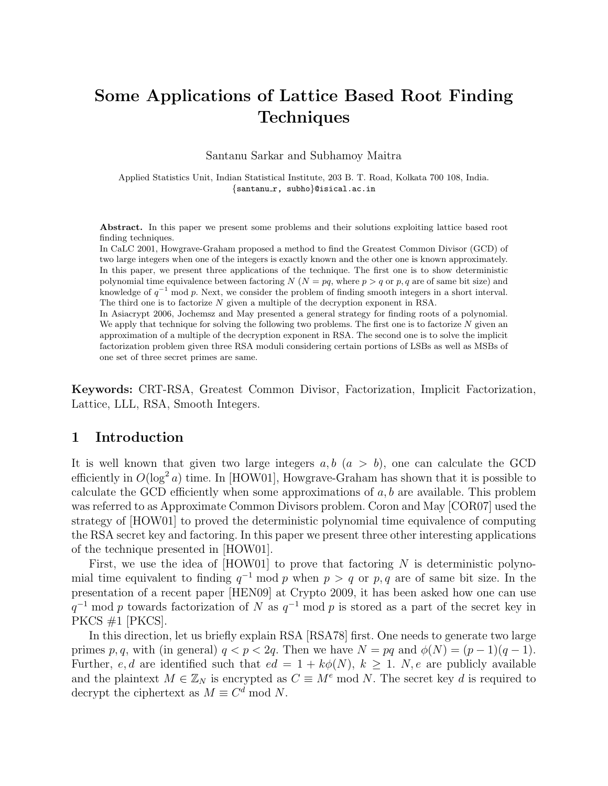# Some Applications of Lattice Based Root Finding **Techniques**

Santanu Sarkar and Subhamoy Maitra

Applied Statistics Unit, Indian Statistical Institute, 203 B. T. Road, Kolkata 700 108, India. {santanu r, subho}@isical.ac.in

Abstract. In this paper we present some problems and their solutions exploiting lattice based root finding techniques.

In CaLC 2001, Howgrave-Graham proposed a method to find the Greatest Common Divisor (GCD) of two large integers when one of the integers is exactly known and the other one is known approximately. In this paper, we present three applications of the technique. The first one is to show deterministic polynomial time equivalence between factoring N ( $N = pq$ , where  $p > q$  or p, q are of same bit size) and knowledge of  $q^{-1}$  mod p. Next, we consider the problem of finding smooth integers in a short interval. The third one is to factorize N given a multiple of the decryption exponent in RSA.

In Asiacrypt 2006, Jochemsz and May presented a general strategy for finding roots of a polynomial. We apply that technique for solving the following two problems. The first one is to factorize  $N$  given an approximation of a multiple of the decryption exponent in RSA. The second one is to solve the implicit factorization problem given three RSA moduli considering certain portions of LSBs as well as MSBs of one set of three secret primes are same.

Keywords: CRT-RSA, Greatest Common Divisor, Factorization, Implicit Factorization, Lattice, LLL, RSA, Smooth Integers.

### 1 Introduction

It is well known that given two large integers  $a, b \ (a > b)$ , one can calculate the GCD efficiently in  $O(\log^2 a)$  time. In [HOW01], Howgrave-Graham has shown that it is possible to calculate the GCD efficiently when some approximations of  $a, b$  are available. This problem was referred to as Approximate Common Divisors problem. Coron and May [COR07] used the strategy of [HOW01] to proved the deterministic polynomial time equivalence of computing the RSA secret key and factoring. In this paper we present three other interesting applications of the technique presented in [HOW01].

First, we use the idea of  $[HOW01]$  to prove that factoring N is deterministic polynomial time equivalent to finding  $q^{-1}$  mod p when  $p > q$  or p, q are of same bit size. In the presentation of a recent paper [HEN09] at Crypto 2009, it has been asked how one can use  $q^{-1}$  mod p towards factorization of N as  $q^{-1}$  mod p is stored as a part of the secret key in PKCS  $#1$  [PKCS].

In this direction, let us briefly explain RSA [RSA78] first. One needs to generate two large primes p, q, with (in general)  $q < p < 2q$ . Then we have  $N = pq$  and  $\phi(N) = (p-1)(q-1)$ . Further, e, d are identified such that  $ed = 1 + k\phi(N)$ ,  $k > 1$ . N, e are publicly available and the plaintext  $M \in \mathbb{Z}_N$  is encrypted as  $C \equiv M^e \mod N$ . The secret key d is required to decrypt the ciphertext as  $M \equiv C^d \mod N$ .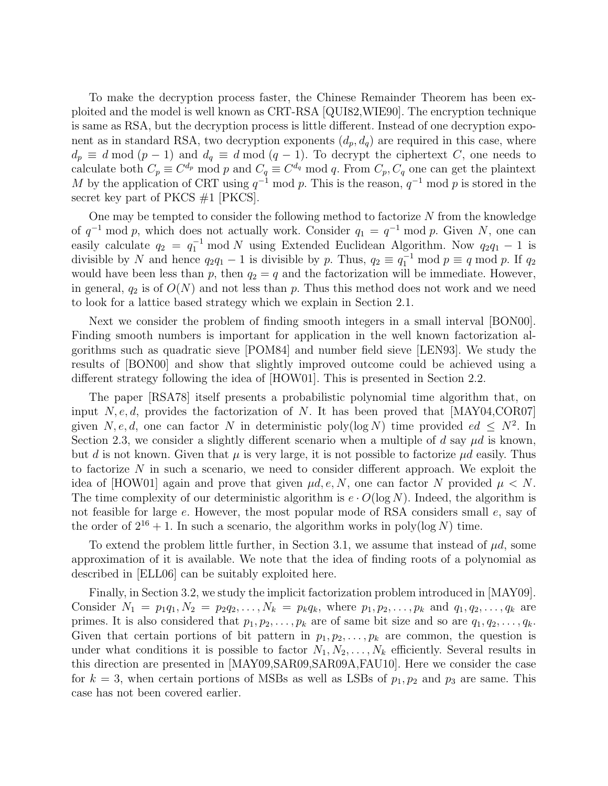To make the decryption process faster, the Chinese Remainder Theorem has been exploited and the model is well known as CRT-RSA [QUI82,WIE90]. The encryption technique is same as RSA, but the decryption process is little different. Instead of one decryption exponent as in standard RSA, two decryption exponents  $(d_p, d_q)$  are required in this case, where  $d_p \equiv d \mod (p-1)$  and  $d_q \equiv d \mod (q-1)$ . To decrypt the ciphertext C, one needs to calculate both  $C_p \equiv C^{d_p} \mod p$  and  $C_q \equiv C^{d_q} \mod q$ . From  $C_p$ ,  $C_q$  one can get the plaintext M by the application of CRT using  $q^{-1}$  mod p. This is the reason,  $q^{-1}$  mod p is stored in the secret key part of PKCS  $#1$  [PKCS].

One may be tempted to consider the following method to factorize  $N$  from the knowledge of  $q^{-1}$  mod p, which does not actually work. Consider  $q_1 = q^{-1}$  mod p. Given N, one can easily calculate  $q_2 = q_1^{-1} \mod N$  using Extended Euclidean Algorithm. Now  $q_2q_1 - 1$  is divisible by N and hence  $q_2q_1 - 1$  is divisible by p. Thus,  $q_2 \equiv q_1^{-1} \mod p \equiv q \mod p$ . If  $q_2$ would have been less than p, then  $q_2 = q$  and the factorization will be immediate. However, in general,  $q_2$  is of  $O(N)$  and not less than p. Thus this method does not work and we need to look for a lattice based strategy which we explain in Section 2.1.

Next we consider the problem of finding smooth integers in a small interval [BON00]. Finding smooth numbers is important for application in the well known factorization algorithms such as quadratic sieve [POM84] and number field sieve [LEN93]. We study the results of [BON00] and show that slightly improved outcome could be achieved using a different strategy following the idea of [HOW01]. This is presented in Section 2.2.

The paper [RSA78] itself presents a probabilistic polynomial time algorithm that, on input  $N, e, d$ , provides the factorization of N. It has been proved that [MAY04,COR07] given N, e, d, one can factor N in deterministic poly(log N) time provided ed  $\leq N^2$ . In Section 2.3, we consider a slightly different scenario when a multiple of d say  $\mu d$  is known, but d is not known. Given that  $\mu$  is very large, it is not possible to factorize  $\mu d$  easily. Thus to factorize  $N$  in such a scenario, we need to consider different approach. We exploit the idea of [HOW01] again and prove that given  $\mu d, e, N$ , one can factor N provided  $\mu < N$ . The time complexity of our deterministic algorithm is  $e \cdot O(\log N)$ . Indeed, the algorithm is not feasible for large e. However, the most popular mode of RSA considers small e, say of the order of  $2^{16} + 1$ . In such a scenario, the algorithm works in poly(log N) time.

To extend the problem little further, in Section 3.1, we assume that instead of  $\mu d$ , some approximation of it is available. We note that the idea of finding roots of a polynomial as described in [ELL06] can be suitably exploited here.

Finally, in Section 3.2, we study the implicit factorization problem introduced in [MAY09]. Consider  $N_1 = p_1q_1, N_2 = p_2q_2, \ldots, N_k = p_kq_k$ , where  $p_1, p_2, \ldots, p_k$  and  $q_1, q_2, \ldots, q_k$  are primes. It is also considered that  $p_1, p_2, \ldots, p_k$  are of same bit size and so are  $q_1, q_2, \ldots, q_k$ . Given that certain portions of bit pattern in  $p_1, p_2, \ldots, p_k$  are common, the question is under what conditions it is possible to factor  $N_1, N_2, \ldots, N_k$  efficiently. Several results in this direction are presented in [MAY09,SAR09,SAR09A,FAU10]. Here we consider the case for  $k = 3$ , when certain portions of MSBs as well as LSBs of  $p_1, p_2$  and  $p_3$  are same. This case has not been covered earlier.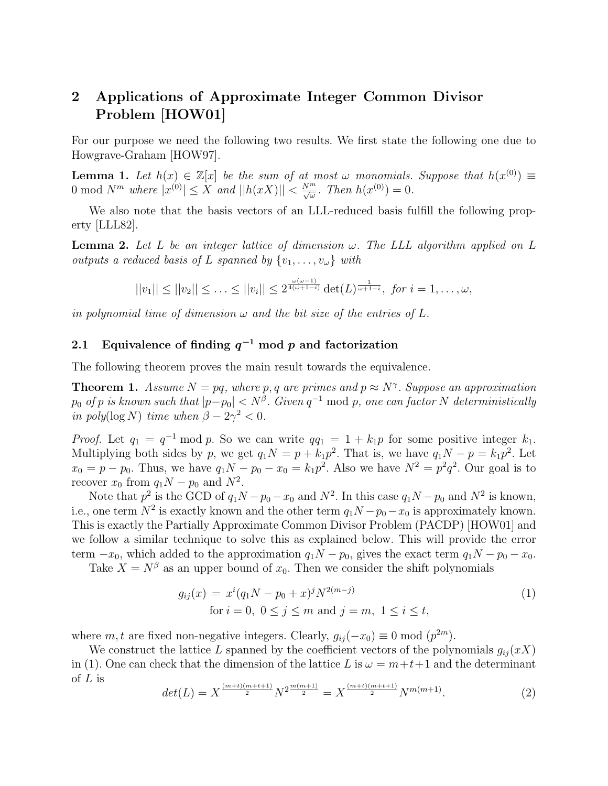# 2 Applications of Approximate Integer Common Divisor Problem [HOW01]

For our purpose we need the following two results. We first state the following one due to Howgrave-Graham [HOW97].

**Lemma 1.** Let  $h(x) \in \mathbb{Z}[x]$  be the sum of at most  $\omega$  monomials. Suppose that  $h(x^{(0)}) \equiv$ 0 mod  $N^m$  where  $|x^{(0)}| \le X$  and  $||h(xX)|| < \frac{N^m}{\sqrt{\omega}}$ . Then  $h(x^{(0)}) = 0$ .

We also note that the basis vectors of an LLL-reduced basis fulfill the following property [LLL82].

**Lemma 2.** Let L be an integer lattice of dimension  $\omega$ . The LLL algorithm applied on L outputs a reduced basis of L spanned by  $\{v_1, \ldots, v_{\omega}\}\$  with

$$
||v_1|| \le ||v_2|| \le \ldots \le ||v_i|| \le 2^{\frac{\omega(\omega-1)}{4(\omega+1-i)}} \det(L)^{\frac{1}{\omega+1-i}}, \text{ for } i = 1,\ldots,\omega,
$$

in polynomial time of dimension  $\omega$  and the bit size of the entries of L.

# 2.1 Equivalence of finding  $q^{-1}$  mod p and factorization

The following theorem proves the main result towards the equivalence.

**Theorem 1.** Assume  $N = pq$ , where p, q are primes and  $p \approx N^{\gamma}$ . Suppose an approximation  $p_0$  of  $p$  is known such that  $|p-p_0| < N^{\beta}$ . Given  $q^{-1}$  mod  $p$ , one can factor N deterministically in poly(log N) time when  $\beta - 2\gamma^2 < 0$ .

*Proof.* Let  $q_1 = q^{-1} \mod p$ . So we can write  $qq_1 = 1 + k_1p$  for some positive integer  $k_1$ . Multiplying both sides by p, we get  $q_1N = p + k_1p^2$ . That is, we have  $q_1N - p = k_1p^2$ . Let  $x_0 = p - p_0$ . Thus, we have  $q_1N - p_0 - x_0 = k_1p^2$ . Also we have  $N^2 = p^2q^2$ . Our goal is to recover  $x_0$  from  $q_1N - p_0$  and  $N^2$ .

Note that  $p^2$  is the GCD of  $q_1N - p_0 - x_0$  and  $N^2$ . In this case  $q_1N - p_0$  and  $N^2$  is known, i.e., one term  $N^2$  is exactly known and the other term  $q_1N - p_0 - x_0$  is approximately known. This is exactly the Partially Approximate Common Divisor Problem (PACDP) [HOW01] and we follow a similar technique to solve this as explained below. This will provide the error term  $-x_0$ , which added to the approximation  $q_1N - p_0$ , gives the exact term  $q_1N - p_0 - x_0$ .

Take  $X = N^{\beta}$  as an upper bound of  $x_0$ . Then we consider the shift polynomials

$$
g_{ij}(x) = x^{i}(q_{1}N - p_{0} + x)^{j}N^{2(m-j)}
$$
  
for  $i = 0, 0 \le j \le m$  and  $j = m, 1 \le i \le t$ , (1)

where m, t are fixed non-negative integers. Clearly,  $g_{ij}(-x_0) \equiv 0 \mod (p^{2m})$ .

We construct the lattice L spanned by the coefficient vectors of the polynomials  $g_{ij}(xX)$ in (1). One can check that the dimension of the lattice L is  $\omega = m+t+1$  and the determinant of  $L$  is

$$
det(L) = X^{\frac{(m+t)(m+t+1)}{2}} N^{2\frac{m(m+1)}{2}} = X^{\frac{(m+t)(m+t+1)}{2}} N^{m(m+1)}.
$$
 (2)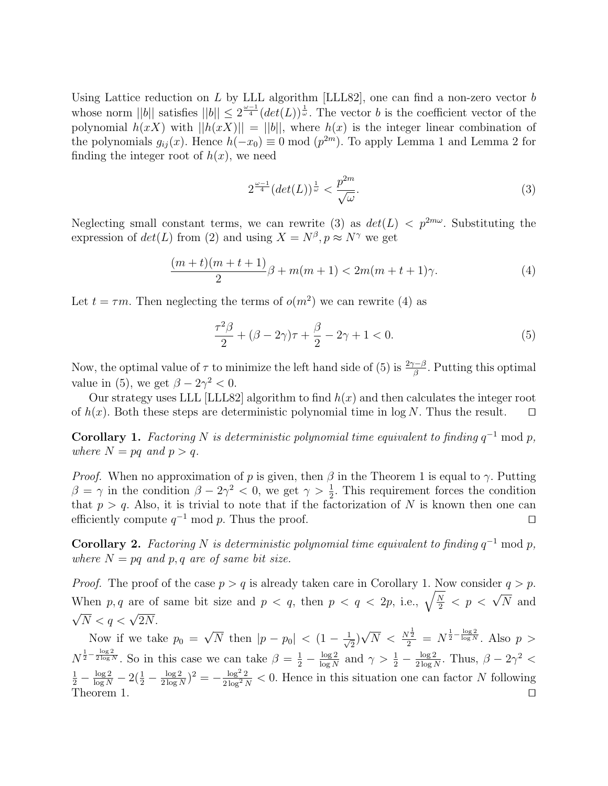Using Lattice reduction on  $L$  by LLL algorithm [LLL82], one can find a non-zero vector  $b$ whose norm  $||b||$  satisfies  $||b|| \leq 2^{\frac{\omega-1}{4}} (det(L))^{\frac{1}{\omega}}$ . The vector b is the coefficient vector of the polynomial  $h(xX)$  with  $||h(xX)|| = ||b||$ , where  $h(x)$  is the integer linear combination of the polynomials  $g_{ij}(x)$ . Hence  $h(-x_0) \equiv 0 \mod (p^{2m})$ . To apply Lemma 1 and Lemma 2 for finding the integer root of  $h(x)$ , we need

$$
2^{\frac{\omega-1}{4}}(\det(L))^{\frac{1}{\omega}} < \frac{p^{2m}}{\sqrt{\omega}}.\tag{3}
$$

Neglecting small constant terms, we can rewrite (3) as  $det(L) < p^{2m\omega}$ . Substituting the expression of  $det(L)$  from (2) and using  $X = N^{\beta}, p \approx N^{\gamma}$  we get

$$
\frac{(m+t)(m+t+1)}{2}\beta + m(m+1) < 2m(m+t+1)\gamma. \tag{4}
$$

Let  $t = \tau m$ . Then neglecting the terms of  $o(m^2)$  we can rewrite (4) as

$$
\frac{\tau^2 \beta}{2} + (\beta - 2\gamma)\tau + \frac{\beta}{2} - 2\gamma + 1 < 0. \tag{5}
$$

Now, the optimal value of  $\tau$  to minimize the left hand side of (5) is  $\frac{2\gamma-\beta}{\beta}$ . Putting this optimal value in (5), we get  $\beta - 2\gamma^2 < 0$ .

Our strategy uses LLL [LLL82] algorithm to find  $h(x)$  and then calculates the integer root of  $h(x)$ . Both these steps are deterministic polynomial time in log N. Thus the result.  $\square$ 

**Corollary 1.** Factoring N is deterministic polynomial time equivalent to finding  $q^{-1}$  mod p, where  $N = pq$  and  $p > q$ .

*Proof.* When no approximation of p is given, then  $\beta$  in the Theorem 1 is equal to  $\gamma$ . Putting  $\beta = \gamma$  in the condition  $\beta - 2\gamma^2 < 0$ , we get  $\gamma > \frac{1}{2}$ . This requirement forces the condition that  $p > q$ . Also, it is trivial to note that if the factorization of N is known then one can efficiently compute  $q^{-1}$  mod p. Thus the proof.  $\square$ 

**Corollary 2.** Factoring N is deterministic polynomial time equivalent to finding  $q^{-1}$  mod p, where  $N = pq$  and p, q are of same bit size.

*Proof.* The proof of the case  $p > q$  is already taken care in Corollary 1. Now consider  $q > p$ . When p, q are of same bit size and  $p < q$ , then  $p < q < 2p$ , i.e.,  $\sqrt{\frac{N}{2}}$  $\frac{\overline{N}}{2}$  < p <  $\sqrt{N}$  and √  $\overline{N} < q < \sqrt{2N}$ .

Now if we take  $p_0 =$ √  $\overline{N}$  then  $|p-p_0| < (1-\frac{1}{\sqrt{2}})$  $\frac{1}{2})$ √  $\overline{N} < \frac{N^{\frac{1}{2}}}{2} = N^{\frac{1}{2} - \frac{\log 2}{\log N}}$ . Also  $p >$  $N^{\frac{1}{2}-\frac{\log 2}{2\log N}}$ . So in this case we can take  $\beta = \frac{1}{2} - \frac{\log 2}{\log N}$  $\frac{\log 2}{\log N}$  and  $\gamma > \frac{1}{2} - \frac{\log 2}{2 \log N}$  $\frac{\log 2}{2 \log N}$ . Thus,  $\beta - 2\gamma^2 <$  $\frac{1}{2} - \frac{\log 2}{\log N} - 2(\frac{1}{2} - \frac{\log 2}{2 \log N})$  $\frac{\log 2}{2 \log N}$ )<sup>2</sup> =  $-\frac{\log^2 2}{2 \log^2 N}$  $\frac{\log^2 2}{2 \log^2 N}$  < 0. Hence in this situation one can factor N following Theorem 1.  $\Box$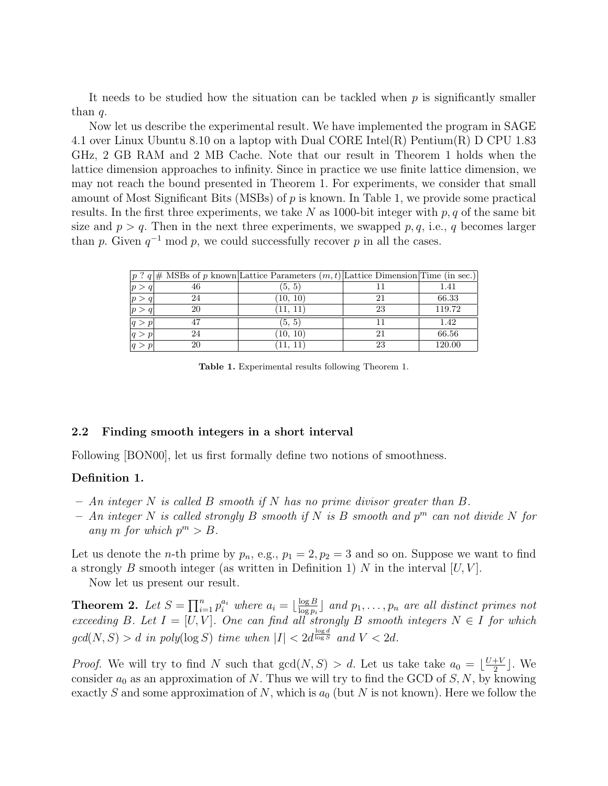It needs to be studied how the situation can be tackled when  $p$  is significantly smaller than  $q$ .

Now let us describe the experimental result. We have implemented the program in SAGE 4.1 over Linux Ubuntu 8.10 on a laptop with Dual CORE Intel(R) Pentium(R) D CPU 1.83 GHz, 2 GB RAM and 2 MB Cache. Note that our result in Theorem 1 holds when the lattice dimension approaches to infinity. Since in practice we use finite lattice dimension, we may not reach the bound presented in Theorem 1. For experiments, we consider that small amount of Most Significant Bits (MSBs) of  $p$  is known. In Table 1, we provide some practical results. In the first three experiments, we take  $N$  as 1000-bit integer with  $p, q$  of the same bit size and  $p > q$ . Then in the next three experiments, we swapped p, q, i.e., q becomes larger than p. Given  $q^{-1}$  mod p, we could successfully recover p in all the cases.

|   |    | $ p \nvert^2 q$ # MSBs of p known Lattice Parameters $(m, t)$ Lattice Dimension Time (in sec.) |    |        |
|---|----|------------------------------------------------------------------------------------------------|----|--------|
| p | 46 | (5, 5)                                                                                         |    | 1.41   |
|   | 24 | (10, 10)                                                                                       |    | 66.33  |
|   | 20 | 11. 11                                                                                         | 23 | 119.72 |
|   |    | (5, 5)                                                                                         |    | 1.42   |
|   | 24 | (10, 10)                                                                                       |    | 66.56  |
|   | 20 |                                                                                                | 23 | 120.00 |

Table 1. Experimental results following Theorem 1.

#### 2.2 Finding smooth integers in a short interval

Following [BON00], let us first formally define two notions of smoothness.

#### Definition 1.

- $An integer N is called B smooth if N has no prime divisor greater than B.$
- $-$  An integer N is called strongly B smooth if N is B smooth and  $p<sup>m</sup>$  can not divide N for any m for which  $p^m > B$ .

Let us denote the *n*-th prime by  $p_n$ , e.g.,  $p_1 = 2$ ,  $p_2 = 3$  and so on. Suppose we want to find a strongly B smooth integer (as written in Definition 1) N in the interval  $[U, V]$ .

Now let us present our result.

**Theorem 2.** Let  $S = \prod_{i=1}^n p_i^{a_i}$  where  $a_i = \lfloor \frac{\log B}{\log p_i} \rfloor$  $\frac{\log B}{\log p_i}$  and  $p_1, \ldots, p_n$  are all distinct primes not exceeding B. Let  $I = [U, V]$ . One can find all strongly B smooth integers  $N \in I$  for which  $gcd(N, S) > d$  in poly $(\log S)$  time when  $|I| < 2d^{\frac{\log d}{\log S}}$  and  $V < 2d$ .

*Proof.* We will try to find N such that  $gcd(N, S) > d$ . Let us take take  $a_0 = \lfloor \frac{U+V}{2} \rfloor$  $\frac{+V}{2}$ . We consider  $a_0$  as an approximation of N. Thus we will try to find the GCD of S, N, by knowing exactly S and some approximation of N, which is  $a_0$  (but N is not known). Here we follow the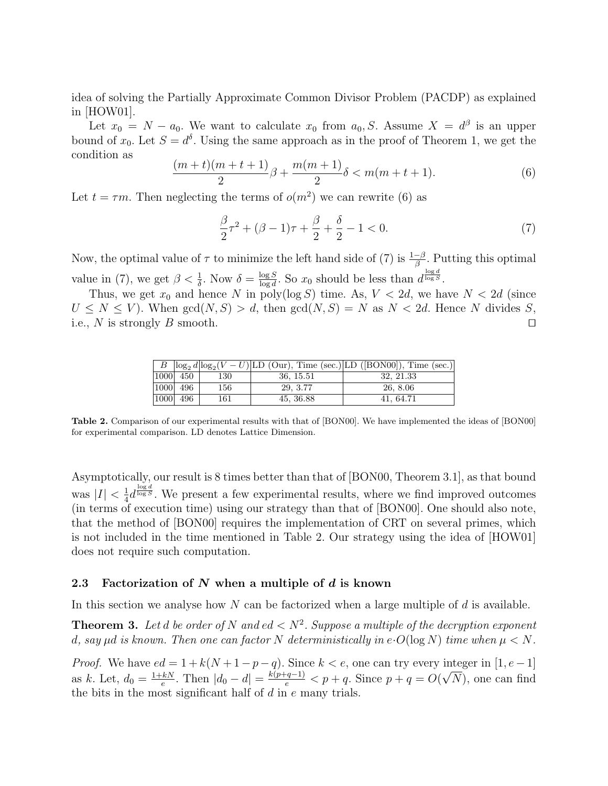idea of solving the Partially Approximate Common Divisor Problem (PACDP) as explained in [HOW01].

Let  $x_0 = N - a_0$ . We want to calculate  $x_0$  from  $a_0, S$ . Assume  $X = d^{\beta}$  is an upper bound of  $x_0$ . Let  $S = d^{\delta}$ . Using the same approach as in the proof of Theorem 1, we get the condition as

$$
\frac{(m+t)(m+t+1)}{2}\beta + \frac{m(m+1)}{2}\delta < m(m+t+1). \tag{6}
$$

Let  $t = \tau m$ . Then neglecting the terms of  $o(m^2)$  we can rewrite (6) as

$$
\frac{\beta}{2}\tau^2 + (\beta - 1)\tau + \frac{\beta}{2} + \frac{\delta}{2} - 1 < 0. \tag{7}
$$

Now, the optimal value of  $\tau$  to minimize the left hand side of (7) is  $\frac{1-\beta}{\beta}$ . Putting this optimal value in (7), we get  $\beta < \frac{1}{\delta}$ . Now  $\delta = \frac{\log S}{\log d}$  $\frac{\log S}{\log d}$ . So  $x_0$  should be less than  $d^{\frac{\log d}{\log S}}$ .

Thus, we get  $x_0$  and hence N in poly(log S) time. As,  $V < 2d$ , we have  $N < 2d$  (since  $U \leq N \leq V$ ). When  $gcd(N, S) > d$ , then  $gcd(N, S) = N$  as  $N < 2d$ . Hence N divides S, i.e., N is strongly B smooth.

|              |              |     |           | B $\log_2 d \log_2 (V-U)$ LD (Our), Time (sec.) LD ([BON00]), Time (sec.) |
|--------------|--------------|-----|-----------|---------------------------------------------------------------------------|
| $ 1000 $ 450 |              | 130 | 36, 15.51 | 32, 21.33                                                                 |
|              | $ 1000 $ 496 | 156 | 29, 3.77  | 26, 8.06                                                                  |
| $ 1000 $ 496 |              | 161 | 45, 36.88 | 41, 64.71                                                                 |

Table 2. Comparison of our experimental results with that of [BON00]. We have implemented the ideas of [BON00] for experimental comparison. LD denotes Lattice Dimension.

Asymptotically, our result is 8 times better than that of [BON00, Theorem 3.1], as that bound was  $|I| < \frac{1}{4}$  $\frac{1}{4}d^{\frac{\log d}{\log S}}$ . We present a few experimental results, where we find improved outcomes (in terms of execution time) using our strategy than that of [BON00]. One should also note, that the method of [BON00] requires the implementation of CRT on several primes, which is not included in the time mentioned in Table 2. Our strategy using the idea of [HOW01] does not require such computation.

#### 2.3 Factorization of  $N$  when a multiple of  $d$  is known

In this section we analyse how  $N$  can be factorized when a large multiple of  $d$  is available.

**Theorem 3.** Let d be order of N and ed  $\langle N^2 \rangle$ . Suppose a multiple of the decryption exponent d, say  $\mu d$  is known. Then one can factor N deterministically in e·O(log N) time when  $\mu < N$ .

*Proof.* We have  $ed = 1 + k(N + 1 - p - q)$ . Since  $k < e$ , one can try every integer in [1, e - 1] as k. Let,  $d_0 = \frac{1+kN}{e}$  $\frac{kN}{e}$ . Then  $|d_0 - d| = \frac{k(p+q-1)}{e} < p + q$ . Since  $p + q = O(q)$ . √ N), one can find the bits in the most significant half of  $d$  in  $e$  many trials.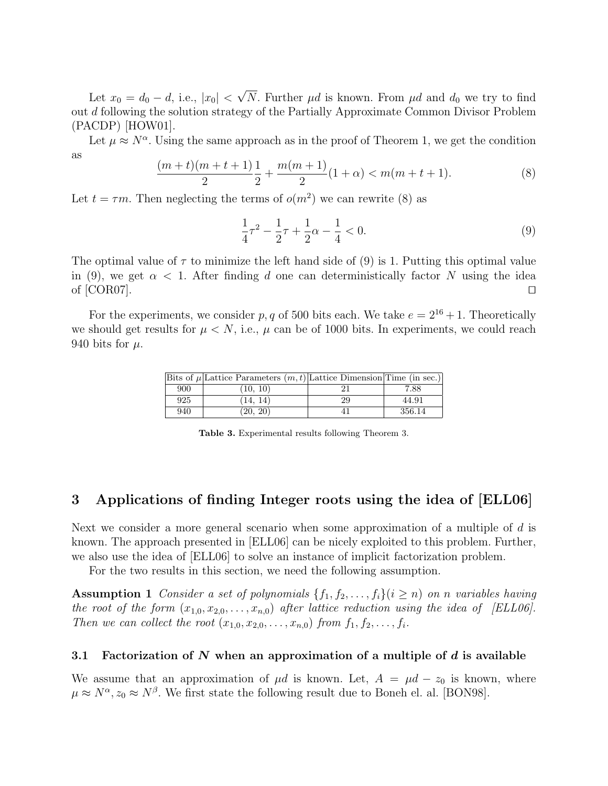Let  $x_0 = d_0 - d$ , i.e.,  $|x_0|$  < √ N. Further  $\mu d$  is known. From  $\mu d$  and  $d_0$  we try to find out d following the solution strategy of the Partially Approximate Common Divisor Problem (PACDP) [HOW01].

Let  $\mu \approx N^{\alpha}$ . Using the same approach as in the proof of Theorem 1, we get the condition as

$$
\frac{(m+t)(m+t+1)}{2}\frac{1}{2} + \frac{m(m+1)}{2}(1+\alpha) < m(m+t+1). \tag{8}
$$

Let  $t = \tau m$ . Then neglecting the terms of  $o(m^2)$  we can rewrite (8) as

$$
\frac{1}{4}\tau^2 - \frac{1}{2}\tau + \frac{1}{2}\alpha - \frac{1}{4} < 0. \tag{9}
$$

The optimal value of  $\tau$  to minimize the left hand side of (9) is 1. Putting this optimal value in (9), we get  $\alpha < 1$ . After finding d one can deterministically factor N using the idea of  $[COR07]$ .

For the experiments, we consider p, q of 500 bits each. We take  $e = 2^{16} + 1$ . Theoretically we should get results for  $\mu < N$ , i.e.,  $\mu$  can be of 1000 bits. In experiments, we could reach 940 bits for  $\mu$ .

|     | Bits of $\mu$ Lattice Parameters $(m, t)$ Lattice Dimension Time (in sec.) |    |        |
|-----|----------------------------------------------------------------------------|----|--------|
| 900 | (10, 10)                                                                   |    | 7.88   |
| 925 | (14, 14)                                                                   | 29 | 44.91  |
| 940 | (20, 20)                                                                   |    | 356.14 |

Table 3. Experimental results following Theorem 3.

# 3 Applications of finding Integer roots using the idea of [ELL06]

Next we consider a more general scenario when some approximation of a multiple of d is known. The approach presented in [ELL06] can be nicely exploited to this problem. Further, we also use the idea of [ELL06] to solve an instance of implicit factorization problem.

For the two results in this section, we need the following assumption.

Assumption 1 Consider a set of polynomials  $\{f_1, f_2, \ldots, f_i\}$  (i  $\geq n$ ) on n variables having the root of the form  $(x_{1,0}, x_{2,0}, \ldots, x_{n,0})$  after lattice reduction using the idea of [ELL06]. Then we can collect the root  $(x_{1,0}, x_{2,0}, \ldots, x_{n,0})$  from  $f_1, f_2, \ldots, f_i$ .

#### 3.1 Factorization of N when an approximation of a multiple of d is available

We assume that an approximation of  $\mu d$  is known. Let,  $A = \mu d - z_0$  is known, where  $\mu \approx N^{\alpha}, z_0 \approx N^{\beta}$ . We first state the following result due to Boneh el. al. [BON98].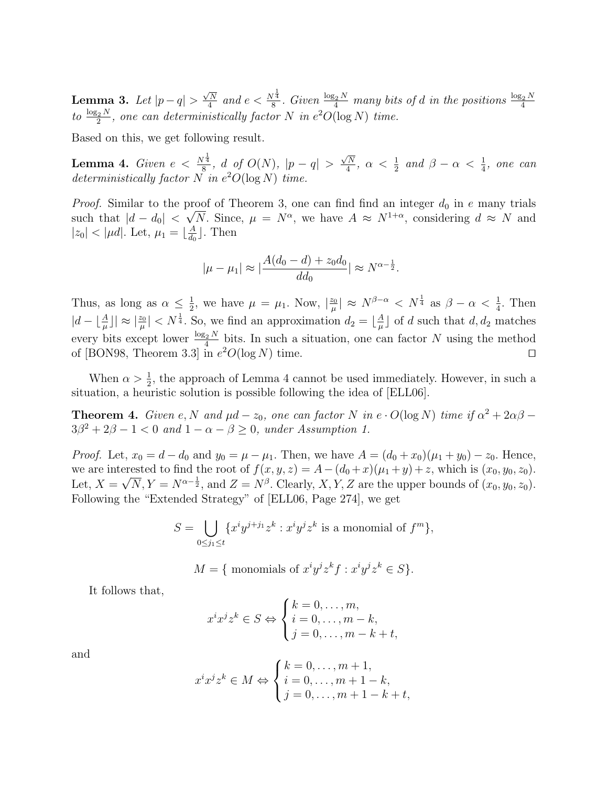Lemma 3. Let  $|p-q|>$  $\sqrt{N}$  $\frac{\sqrt{N}}{4}$  and  $e < \frac{N^{\frac{1}{4}}}{8}$  $\frac{1}{8}$ . Given  $\frac{\log_2 N}{4}$  many bits of d in the positions  $\frac{\log_2 N}{4}$ to  $\frac{\log_2 N}{2}$ , one can deterministically factor N in  $e^2O(\log N)$  time.

Based on this, we get following result.

**Lemma 4.** Given  $e < \frac{N^{\frac{1}{4}}}{8}$  $\frac{q}{8}$ , d of  $O(N)$ ,  $|p-q| >$  $\sqrt{N}$  $\frac{\sqrt{N}}{4}$ ,  $\alpha < \frac{1}{2}$  and  $\beta - \alpha < \frac{1}{4}$ , one can deterministically factor  $N$  in  $e^2O(\log N)$  time.

*Proof.* Similar to the proof of Theorem 3, one can find find an integer  $d_0$  in e many trials such that  $|d - d_0| < \sqrt{N}$ . Since,  $\mu = N^{\alpha}$ , we have  $A \approx N^{1+\alpha}$ , considering  $d \approx N$  and  $|z_0| < |\mu d|$ . Let,  $\mu_1 = \lfloor \frac{A}{d_0} \rfloor$  $\frac{A}{d_0}$ . Then

$$
|\mu - \mu_1| \approx \left| \frac{A(d_0 - d) + z_0 d_0}{d d_0} \right| \approx N^{\alpha - \frac{1}{2}}.
$$

Thus, as long as  $\alpha \leq \frac{1}{2}$  $\frac{1}{2}$ , we have  $\mu = \mu_1$ . Now,  $\left|\frac{z_0}{\mu}\right|$  $\frac{z_0}{\mu}$  |  $\approx N^{\beta-\alpha} < N^{\frac{1}{4}}$  as  $\beta-\alpha < \frac{1}{4}$ . Then  $|d - \lfloor \frac{A}{\mu} \rfloor| \approx \lceil \frac{z_0}{\mu} \rceil < N^{\frac{1}{4}}$ . So, we find an approximation  $d_2 = \lfloor \frac{A}{\mu} \rfloor$  $\frac{A}{\mu}$  of d such that  $d, d_2$  matches every bits except lower  $\frac{\log_2 N}{4}$  bits. In such a situation, one can factor N using the method of [BON98, Theorem 3.3] in  $e^2O(\log N)$  time.

When  $\alpha > \frac{1}{2}$ , the approach of Lemma 4 cannot be used immediately. However, in such a situation, a heuristic solution is possible following the idea of [ELL06].

**Theorem 4.** Given e, N and  $\mu d - z_0$ , one can factor N in e  $\cdot O(\log N)$  time if  $\alpha^2 + 2\alpha\beta$  $3\beta^2 + 2\beta - 1 < 0$  and  $1 - \alpha - \beta \ge 0$ , under Assumption 1.

*Proof.* Let,  $x_0 = d - d_0$  and  $y_0 = \mu - \mu_1$ . Then, we have  $A = (d_0 + x_0)(\mu_1 + y_0) - z_0$ . Hence, we are interested to find the root of  $f(x, y, z) = A - (d_0 + x)(\mu_1 + y) + z$ , which is  $(x_0, y_0, z_0)$ . Let,  $X = \sqrt{N}$ ,  $Y = N^{\alpha - \frac{1}{2}}$ , and  $Z = N^{\beta}$ . Clearly, X, Y, Z are the upper bounds of  $(x_0, y_0, z_0)$ . Following the "Extended Strategy" of [ELL06, Page 274], we get

$$
S = \bigcup_{0 \le j_1 \le t} \{ x^i y^{j+j_1} z^k : x^i y^j z^k \text{ is a monomial of } f^m \},
$$

$$
M = \{ \text{ monomials of } x^i y^j z^k f : x^i y^j z^k \in S \}.
$$

It follows that,

$$
x^{i}x^{j}z^{k} \in S \Leftrightarrow \begin{cases} k = 0, \dots, m, \\ i = 0, \dots, m - k, \\ j = 0, \dots, m - k + t, \end{cases}
$$

and

$$
x^{i}x^{j}z^{k} \in M \Leftrightarrow \begin{cases} k = 0, \dots, m+1, \\ i = 0, \dots, m+1-k, \\ j = 0, \dots, m+1-k+t, \end{cases}
$$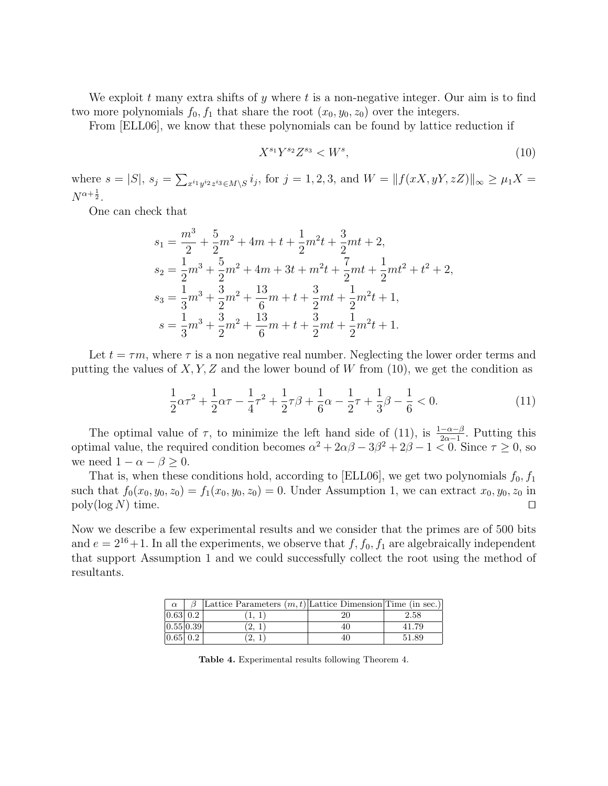We exploit t many extra shifts of y where t is a non-negative integer. Our aim is to find two more polynomials  $f_0, f_1$  that share the root  $(x_0, y_0, z_0)$  over the integers.

From [ELL06], we know that these polynomials can be found by lattice reduction if

$$
X^{s_1}Y^{s_2}Z^{s_3} < W^s,\tag{10}
$$

where  $s = |S|$ ,  $s_j = \sum_{x^{i_1} y^{i_2} z^{i_3} \in M \setminus S} i_j$ , for  $j = 1, 2, 3$ , and  $W = ||f(xX, yY, zZ)||_{\infty} \ge \mu_1 X =$  $N^{\alpha+\frac{1}{2}}$ .

One can check that

$$
s_1 = \frac{m^3}{2} + \frac{5}{2}m^2 + 4m + t + \frac{1}{2}m^2t + \frac{3}{2}mt + 2,
$$
  
\n
$$
s_2 = \frac{1}{2}m^3 + \frac{5}{2}m^2 + 4m + 3t + m^2t + \frac{7}{2}mt + \frac{1}{2}mt^2 + t^2 + 2,
$$
  
\n
$$
s_3 = \frac{1}{3}m^3 + \frac{3}{2}m^2 + \frac{13}{6}m + t + \frac{3}{2}mt + \frac{1}{2}m^2t + 1,
$$
  
\n
$$
s = \frac{1}{3}m^3 + \frac{3}{2}m^2 + \frac{13}{6}m + t + \frac{3}{2}mt + \frac{1}{2}m^2t + 1.
$$

Let  $t = \tau m$ , where  $\tau$  is a non negative real number. Neglecting the lower order terms and putting the values of  $X, Y, Z$  and the lower bound of W from (10), we get the condition as

$$
\frac{1}{2}\alpha\tau^2 + \frac{1}{2}\alpha\tau - \frac{1}{4}\tau^2 + \frac{1}{2}\tau\beta + \frac{1}{6}\alpha - \frac{1}{2}\tau + \frac{1}{3}\beta - \frac{1}{6} < 0. \tag{11}
$$

The optimal value of  $\tau$ , to minimize the left hand side of (11), is  $\frac{1-\alpha-\beta}{2\alpha-1}$ . Putting this optimal value, the required condition becomes  $\alpha^2 + 2\alpha\beta - 3\beta^2 + 2\beta - 1 \leq 0$ . Since  $\tau \geq 0$ , so we need  $1 - \alpha - \beta \geq 0$ .

That is, when these conditions hold, according to [ELL06], we get two polynomials  $f_0, f_1$ such that  $f_0(x_0, y_0, z_0) = f_1(x_0, y_0, z_0) = 0$ . Under Assumption 1, we can extract  $x_0, y_0, z_0$  in  $\log(\log N)$  time.

Now we describe a few experimental results and we consider that the primes are of 500 bits and  $e = 2^{16} + 1$ . In all the experiments, we observe that  $f, f_0, f_1$  are algebraically independent that support Assumption 1 and we could successfully collect the root using the method of resultants.

| $\alpha$ |                            | Lattice Parameters $(m, t)$ Lattice Dimension Time (in sec.) |     |       |
|----------|----------------------------|--------------------------------------------------------------|-----|-------|
|          | $0.63 \,   \, 0.2 \,   \,$ |                                                              |     | 2.58  |
|          | 0.55 0.39                  |                                                              | 40. | 41.79 |
|          | 0.65 0.2                   |                                                              | 40  | 51.89 |

Table 4. Experimental results following Theorem 4.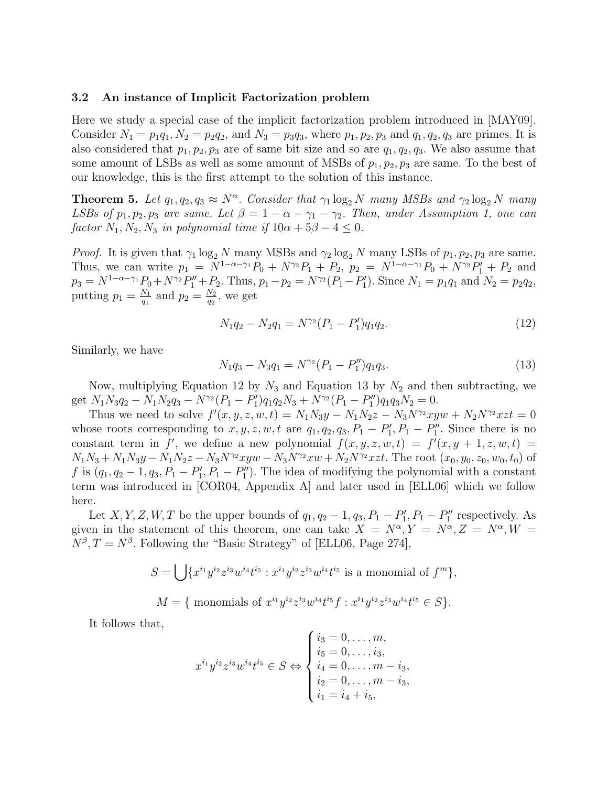#### 3.2 An instance of Implicit Factorization problem

Here we study a special case of the implicit factorization problem introduced in [MAY09]. Consider  $N_1 = p_1q_1, N_2 = p_2q_2$ , and  $N_3 = p_3q_3$ , where  $p_1, p_2, p_3$  and  $q_1, q_2, q_3$  are primes. It is also considered that  $p_1, p_2, p_3$  are of same bit size and so are  $q_1, q_2, q_3$ . We also assume that some amount of LSBs as well as some amount of MSBs of  $p_1, p_2, p_3$  are same. To the best of our knowledge, this is the first attempt to the solution of this instance.

**Theorem 5.** Let  $q_1, q_2, q_3 \approx N^{\alpha}$ . Consider that  $\gamma_1 \log_2 N$  many MSBs and  $\gamma_2 \log_2 N$  many LSBs of  $p_1, p_2, p_3$  are same. Let  $\beta = 1 - \alpha - \gamma_1 - \gamma_2$ . Then, under Assumption 1, one can factor  $N_1, N_2, N_3$  in polynomial time if  $10\alpha + 5\beta - 4 \leq 0$ .

*Proof.* It is given that  $\gamma_1 \log_2 N$  many MSBs and  $\gamma_2 \log_2 N$  many LSBs of  $p_1, p_2, p_3$  are same. Thus, we can write  $p_1 = N^{1-\alpha-\gamma_1}P_0 + N^{\gamma_2}P_1 + P_2$ ,  $p_2 = N^{1-\alpha-\gamma_1}P_0 + N^{\gamma_2}P_1' + P_2$  and  $p_3 = N^{1-\alpha-\gamma_1}P_0 + N^{\gamma_2}P_1'' + P_2$ . Thus,  $p_1 - p_2 = N^{\gamma_2}(P_1 - P_1')$ . Since  $N_1 = p_1q_1$  and  $N_2 = p_2q_2$ , putting  $p_1 = \frac{N_1}{q_1}$  $\frac{N_1}{q_1}$  and  $p_2 = \frac{N_2}{q_2}$  $\frac{N_2}{q_2}$ , we get

$$
N_1 q_2 - N_2 q_1 = N^{\gamma_2} (P_1 - P_1') q_1 q_2.
$$
\n(12)

Similarly, we have

$$
N_1 q_3 - N_3 q_1 = N^{\gamma_2} (P_1 - P_1'') q_1 q_3. \tag{13}
$$

Now, multiplying Equation 12 by  $N_3$  and Equation 13 by  $N_2$  and then subtracting, we get  $N_1N_3q_2 - N_1N_2q_3 - N^{\gamma_2}(P_1 - P_1')q_1q_2N_3 + N^{\gamma_2}(P_1 - P_1'')q_1q_3N_2 = 0.$ 

Thus we need to solve  $f'(x, y, z, w, t) = N_1 N_3 y - N_1 N_2 z - N_3 N^2 x y w + N_2 N^2 x z t = 0$ whose roots corresponding to  $x, y, z, w, t$  are  $q_1, q_2, q_3, P_1 - P_1', P_1 - P_1''$ . Since there is no constant term in f', we define a new polynomial  $f(x, y, z, w, t) = f'(x, y + 1, z, w, t)$  $N_1N_3 + N_1N_3y - N_1N_2z - N_3N^{\gamma_2}xyw - N_3N^{\gamma_2}xw + N_2N^{\gamma_2}xzt$ . The root  $(x_0, y_0, z_0, w_0, t_0)$  of f is  $(q_1, q_2-1, q_3, P_1-P'_1, P_1-P''_1)$ . The idea of modifying the polynomial with a constant term was introduced in [COR04, Appendix A] and later used in [ELL06] which we follow here.

Let X, Y, Z, W, T be the upper bounds of  $q_1, q_2 - 1, q_3, P_1 - P_1', P_1 - P_1''$  respectively. As given in the statement of this theorem, one can take  $X = N^{\alpha}, Y = N^{\alpha}, Z = N^{\alpha}, W =$  $N^{\beta}, T = N^{\beta}$ . Following the "Basic Strategy" of [ELL06, Page 274],

$$
S = \bigcup \{x^{i_1}y^{i_2}z^{i_3}w^{i_4}t^{i_5} : x^{i_1}y^{i_2}z^{i_3}w^{i_4}t^{i_5} \text{ is a monomial of } f^m\},\
$$
  

$$
M = \{\text{ monomials of } x^{i_1}y^{i_2}z^{i_3}w^{i_4}t^{i_5}f : x^{i_1}y^{i_2}z^{i_3}w^{i_4}t^{i_5} \in S\}.
$$

It follows that,

$$
x^{i_1}y^{i_2}z^{i_3}w^{i_4}t^{i_5} \in S \Leftrightarrow \begin{cases} i_3 = 0, \dots, m, \\ i_5 = 0, \dots, i_3, \\ i_4 = 0, \dots, m - i_3, \\ i_2 = 0, \dots, m - i_3, \\ i_1 = i_4 + i_5, \end{cases}
$$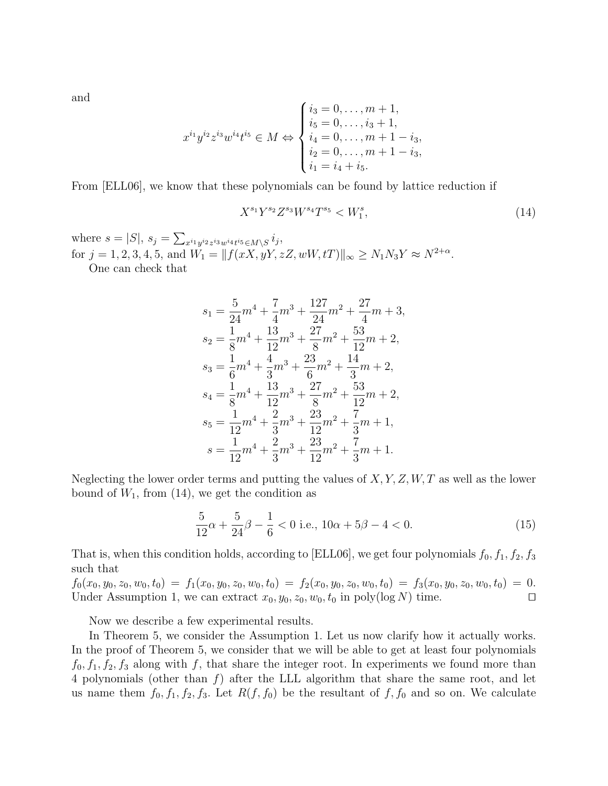and

$$
x^{i_1}y^{i_2}z^{i_3}w^{i_4}t^{i_5} \in M \Leftrightarrow \begin{cases} i_3 = 0, \dots, m+1, \\ i_5 = 0, \dots, i_3+1, \\ i_4 = 0, \dots, m+1-i_3, \\ i_2 = 0, \dots, m+1-i_3, \\ i_1 = i_4+i_5. \end{cases}
$$

From [ELL06], we know that these polynomials can be found by lattice reduction if

$$
X^{s_1}Y^{s_2}Z^{s_3}W^{s_4}T^{s_5} < W_1^s,\tag{14}
$$

where  $s = |S|$ ,  $s_j = \sum_{x^{i_1} y^{i_2} z^{i_3} w^{i_4} t^{i_5} \in M \setminus S} i_j$ , for  $j = 1, 2, 3, 4, 5$ , and  $W_1 = ||f(xX, yY, zZ, wW, tT)||_{\infty} \ge N_1 N_3 Y \approx N^{2+\alpha}$ . One can check that

$$
\begin{aligned} s_1 &= \frac{5}{24}m^4 + \frac{7}{4}m^3 + \frac{127}{24}m^2 + \frac{27}{4}m + 3, \\ s_2 &= \frac{1}{8}m^4 + \frac{13}{12}m^3 + \frac{27}{8}m^2 + \frac{53}{12}m + 2, \\ s_3 &= \frac{1}{6}m^4 + \frac{4}{3}m^3 + \frac{23}{6}m^2 + \frac{14}{3}m + 2, \\ s_4 &= \frac{1}{8}m^4 + \frac{13}{12}m^3 + \frac{27}{8}m^2 + \frac{53}{12}m + 2, \\ s_5 &= \frac{1}{12}m^4 + \frac{2}{3}m^3 + \frac{23}{12}m^2 + \frac{7}{3}m + 1, \\ s &= \frac{1}{12}m^4 + \frac{2}{3}m^3 + \frac{23}{12}m^2 + \frac{7}{3}m + 1. \end{aligned}
$$

Neglecting the lower order terms and putting the values of  $X, Y, Z, W, T$  as well as the lower bound of  $W_1$ , from (14), we get the condition as

$$
\frac{5}{12}\alpha + \frac{5}{24}\beta - \frac{1}{6} < 0 \text{ i.e., } 10\alpha + 5\beta - 4 < 0. \tag{15}
$$

That is, when this condition holds, according to [ELL06], we get four polynomials  $f_0, f_1, f_2, f_3$ such that

 $f_0(x_0, y_0, z_0, w_0, t_0) = f_1(x_0, y_0, z_0, w_0, t_0) = f_2(x_0, y_0, z_0, w_0, t_0) = f_3(x_0, y_0, z_0, w_0, t_0) = 0.$ Under Assumption 1, we can extract  $x_0, y_0, z_0, w_0, t_0$  in poly(log N) time.

Now we describe a few experimental results.

In Theorem 5, we consider the Assumption 1. Let us now clarify how it actually works. In the proof of Theorem 5, we consider that we will be able to get at least four polynomials  $f_0, f_1, f_2, f_3$  along with f, that share the integer root. In experiments we found more than 4 polynomials (other than  $f$ ) after the LLL algorithm that share the same root, and let us name them  $f_0, f_1, f_2, f_3$ . Let  $R(f, f_0)$  be the resultant of  $f, f_0$  and so on. We calculate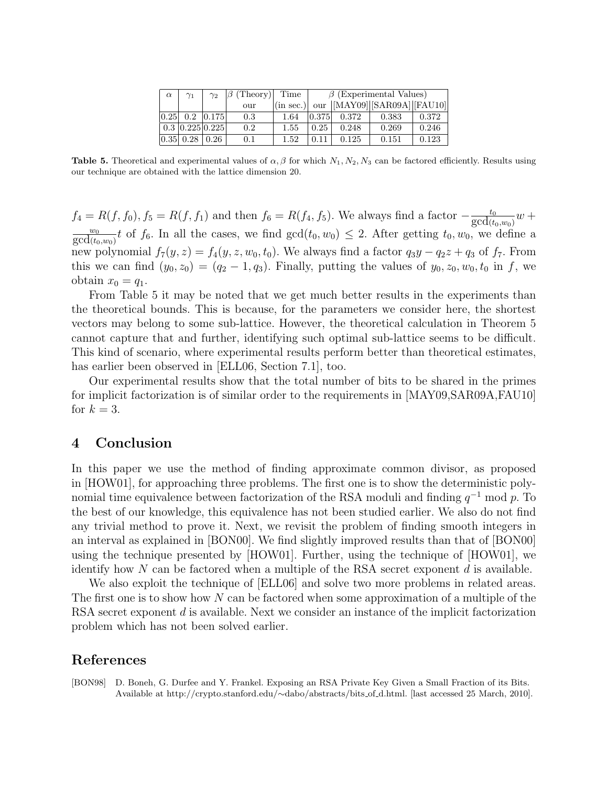| $\alpha$ | $\gamma_1$                                      | $\gamma_2$ | $ \beta$ (Theory) Time |           | $\beta$ (Experimental Values) |       |                                                              |       |
|----------|-------------------------------------------------|------------|------------------------|-----------|-------------------------------|-------|--------------------------------------------------------------|-------|
|          |                                                 |            | our                    | (in sec.) |                               |       | our $\vert$ [MAY09] $\vert$ [SAR09A] $\vert$ [FAU10] $\vert$ |       |
|          | $ 0.25 $ 0.2 $ 0.175 $                          |            | 0.3                    | 1.64      | 0.375                         | 0.372 | 0.383                                                        | 0.372 |
|          | $\vert$ 0.3 $\vert$ 0.225 $\vert$ 0.225 $\vert$ |            | 0.2                    | 1.55      | 0.25                          | 0.248 | 0.269                                                        | 0.246 |
|          | $ 0.35 $ $0.28 0.26 $                           |            | 0.1                    | 1.52      | 0.11                          | 0.125 | 0.151                                                        | 0.123 |

**Table 5.** Theoretical and experimental values of  $\alpha$ ,  $\beta$  for which  $N_1$ ,  $N_2$ ,  $N_3$  can be factored efficiently. Results using our technique are obtained with the lattice dimension 20.

 $f_4 = R(f, f_0), f_5 = R(f, f_1)$  and then  $f_6 = R(f_4, f_5)$ . We always find a factor  $-\frac{t_0}{\gcd(t_0, w_0)}w +$  $\frac{w_0}{\gcd(t_0, w_0)} t$  of  $f_6$ . In all the cases, we find  $\gcd(t_0, w_0) \le 2$ . After getting  $t_0, w_0$ , we define a new polynomial  $f_7(y, z) = f_4(y, z, w_0, t_0)$ . We always find a factor  $q_3y - q_2z + q_3$  of  $f_7$ . From this we can find  $(y_0, z_0) = (q_2 - 1, q_3)$ . Finally, putting the values of  $y_0, z_0, w_0, t_0$  in f, we obtain  $x_0 = q_1$ .

From Table 5 it may be noted that we get much better results in the experiments than the theoretical bounds. This is because, for the parameters we consider here, the shortest vectors may belong to some sub-lattice. However, the theoretical calculation in Theorem 5 cannot capture that and further, identifying such optimal sub-lattice seems to be difficult. This kind of scenario, where experimental results perform better than theoretical estimates, has earlier been observed in [ELL06, Section 7.1], too.

Our experimental results show that the total number of bits to be shared in the primes for implicit factorization is of similar order to the requirements in [MAY09,SAR09A,FAU10] for  $k = 3$ .

## 4 Conclusion

In this paper we use the method of finding approximate common divisor, as proposed in [HOW01], for approaching three problems. The first one is to show the deterministic polynomial time equivalence between factorization of the RSA moduli and finding  $q^{-1}$  mod p. To the best of our knowledge, this equivalence has not been studied earlier. We also do not find any trivial method to prove it. Next, we revisit the problem of finding smooth integers in an interval as explained in [BON00]. We find slightly improved results than that of [BON00] using the technique presented by [HOW01]. Further, using the technique of [HOW01], we identify how  $N$  can be factored when a multiple of the RSA secret exponent  $d$  is available.

We also exploit the technique of [ELL06] and solve two more problems in related areas. The first one is to show how N can be factored when some approximation of a multiple of the RSA secret exponent d is available. Next we consider an instance of the implicit factorization problem which has not been solved earlier.

## References

[BON98] D. Boneh, G. Durfee and Y. Frankel. Exposing an RSA Private Key Given a Small Fraction of its Bits. Available at http://crypto.stanford.edu/∼dabo/abstracts/bits of d.html. [last accessed 25 March, 2010].